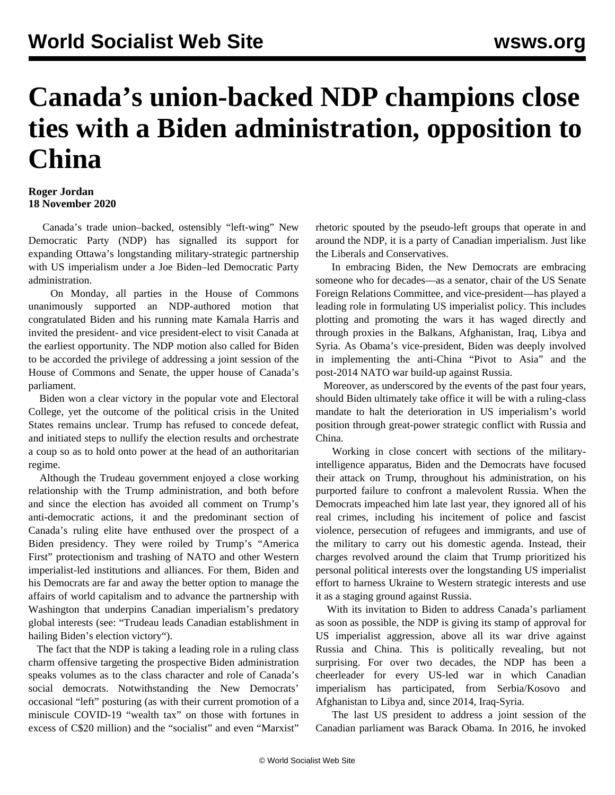## **Canada's union-backed NDP champions close ties with a Biden administration, opposition to China**

## **Roger Jordan 18 November 2020**

 Canada's trade union–backed, ostensibly "left-wing" New Democratic Party (NDP) has signalled its support for expanding Ottawa's longstanding military-strategic partnership with US imperialism under a Joe Biden–led Democratic Party administration.

 On Monday, all parties in the House of Commons unanimously supported an NDP-authored motion that congratulated Biden and his running mate Kamala Harris and invited the president- and vice president-elect to visit Canada at the earliest opportunity. The NDP motion also called for Biden to be accorded the privilege of addressing a joint session of the House of Commons and Senate, the upper house of Canada's parliament.

 Biden won a clear victory in the popular vote and Electoral College, yet the outcome of the political crisis in the United States remains unclear. Trump has refused to concede defeat, and initiated steps to nullify the election results and orchestrate a coup so as to hold onto power at the head of an authoritarian regime.

 Although the Trudeau government enjoyed a close working relationship with the Trump administration, and both before and since the election has avoided all comment on Trump's anti-democratic actions, it and the predominant section of Canada's ruling elite have enthused over the prospect of a Biden presidency. They were roiled by Trump's "America First" protectionism and trashing of NATO and other Western imperialist-led institutions and alliances. For them, Biden and his Democrats are far and away the better option to manage the affairs of world capitalism and to advance the partnership with Washington that underpins Canadian imperialism's predatory global interests (see: ["Trudeau leads Canadian establishment in](/en/articles/2020/11/12/cabi-n12.html) [hailing Biden](/en/articles/2020/11/12/cabi-n12.html)'s election victory").

 The fact that the NDP is taking a leading role in a ruling class charm offensive targeting the prospective Biden administration speaks volumes as to the class character and role of Canada's social democrats. Notwithstanding the New Democrats' occasional "left" posturing (as with their current promotion of a miniscule COVID-19 "wealth tax" on those with fortunes in excess of C\$20 million) and the "socialist" and even "Marxist"

rhetoric spouted by the pseudo-left groups that operate in and around the NDP, it is a party of Canadian imperialism. Just like the Liberals and Conservatives.

 In embracing Biden, the New Democrats are embracing someone who for decades—as a senator, chair of the US Senate Foreign Relations Committee, and vice-president—has played a leading role in formulating US imperialist policy. This includes plotting and promoting the wars it has waged directly and through proxies in the Balkans, Afghanistan, Iraq, Libya and Syria. As Obama's vice-president, Biden was deeply involved in implementing the anti-China "Pivot to Asia" and the post-2014 NATO war build-up against Russia.

 Moreover, as underscored by the events of the past four years, should Biden ultimately take office it will be with a ruling-class mandate to halt the deterioration in US imperialism's world position through great-power strategic conflict with Russia and China.

 Working in close concert with sections of the militaryintelligence apparatus, Biden and the Democrats have focused their attack on Trump, throughout his administration, on his purported failure to confront a malevolent Russia. When the Democrats impeached him late last year, they ignored all of his real crimes, including his incitement of police and fascist violence, persecution of refugees and immigrants, and use of the military to carry out his domestic agenda. Instead, their charges revolved around the claim that Trump prioritized his personal political interests over the longstanding US imperialist effort to harness Ukraine to Western strategic interests and use it as a staging ground against Russia.

 With its invitation to Biden to address Canada's parliament as soon as possible, the NDP is giving its stamp of approval for US imperialist aggression, above all its war drive against Russia and China. This is politically revealing, but not surprising. For over two decades, the NDP has been a cheerleader for every US-led war in which Canadian imperialism has participated, from Serbia/Kosovo and Afghanistan to Libya and, since 2014, Iraq-Syria.

 The last US president to address a joint session of the Canadian parliament was Barack Obama. In 2016, he invoked